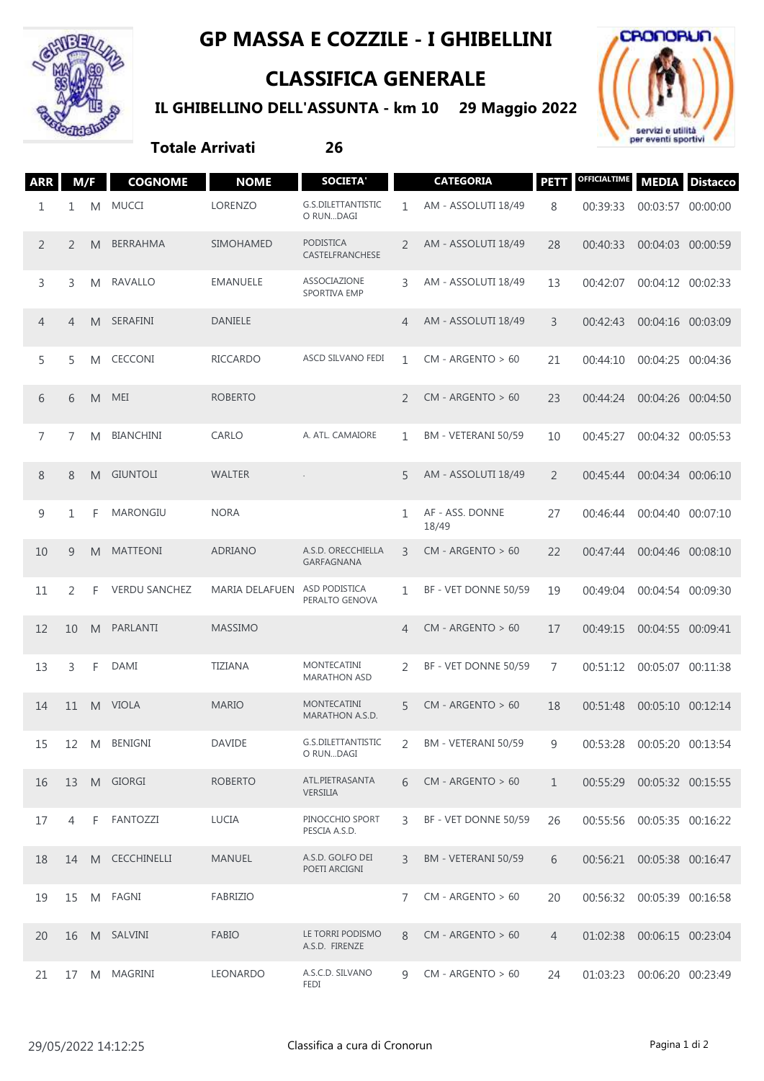

## **GP MASSA E COZZILE - I GHIBELLINI**

## **CLASSIFICA GENERALE**

**IL GHIBELLINO DELL'ASSUNTA - km 10 29 Maggio 2022**



## **Totale Arrivati 26**

|  | <b>ARR</b>     | M/F            |   | <b>COGNOME</b>       | <b>NOME</b>           | <b>SOCIETA'</b>                       |                | <b>CATEGORIA</b>         | <b>PETT</b>    | OFFICIALTIME                 |                   | <b>MEDIA</b> Distacco |
|--|----------------|----------------|---|----------------------|-----------------------|---------------------------------------|----------------|--------------------------|----------------|------------------------------|-------------------|-----------------------|
|  | 1              | 1              | M | <b>MUCCI</b>         | LORENZO               | G.S.DILETTANTISTIC<br>O RUNDAGI       | 1              | AM - ASSOLUTI 18/49      | 8              | 00:39:33                     | 00:03:57 00:00:00 |                       |
|  | $\overline{2}$ | 2              | M | BERRAHMA             | <b>SIMOHAMED</b>      | <b>PODISTICA</b><br>CASTELFRANCHESE   | 2              | AM - ASSOLUTI 18/49      | 28             | 00:40:33                     | 00:04:03 00:00:59 |                       |
|  | 3              | 3              | M | RAVALLO              | EMANUELE              | ASSOCIAZIONE<br>SPORTIVA EMP          | 3              | AM - ASSOLUTI 18/49      | 13             | 00:42:07                     | 00:04:12 00:02:33 |                       |
|  | 4              | $\overline{4}$ | M | SERAFINI             | <b>DANIELE</b>        |                                       | 4              | AM - ASSOLUTI 18/49      | 3              | 00:42:43                     | 00:04:16 00:03:09 |                       |
|  | 5              | 5              | M | <b>CECCONI</b>       | <b>RICCARDO</b>       | ASCD SILVANO FEDI                     | $\mathbf{1}$   | $CM - ARGENTO > 60$      | 21             | 00:44:10                     | 00:04:25 00:04:36 |                       |
|  | 6              | 6              | M | MEI                  | <b>ROBERTO</b>        |                                       | 2              | $CM - ARGENTO > 60$      | 23             | 00:44:24                     | 00:04:26 00:04:50 |                       |
|  | 7              | 7              | M | <b>BIANCHINI</b>     | CARLO                 | A. ATL. CAMAIORE                      | 1              | BM - VETERANI 50/59      | 10             | 00:45:27                     | 00:04:32 00:05:53 |                       |
|  | 8              | 8              | M | <b>GIUNTOLI</b>      | <b>WALTER</b>         |                                       | 5              | AM - ASSOLUTI 18/49      | 2              | 00:45:44                     | 00:04:34 00:06:10 |                       |
|  | 9              | 1              | F | <b>MARONGIU</b>      | <b>NORA</b>           |                                       | 1              | AF - ASS. DONNE<br>18/49 | 27             | 00:46:44                     | 00:04:40 00:07:10 |                       |
|  | 10             | 9              | M | <b>MATTEONI</b>      | <b>ADRIANO</b>        | A.S.D. ORECCHIELLA<br>GARFAGNANA      | 3              | $CM - ARGENTO > 60$      | 22             | 00:47:44                     | 00:04:46 00:08:10 |                       |
|  | 11             | 2              | F | <b>VERDU SANCHEZ</b> | <b>MARIA DELAFUEN</b> | ASD PODISTICA<br>PERALTO GENOVA       | 1              | BF - VET DONNE 50/59     | 19             | 00:49:04                     | 00:04:54 00:09:30 |                       |
|  | 12             | 10             | M | PARLANTI             | <b>MASSIMO</b>        |                                       | 4              | $CM - ARGENTO > 60$      | 17             | 00:49:15                     | 00:04:55 00:09:41 |                       |
|  | 13             | 3              | F | DAMI                 | <b>TIZIANA</b>        | MONTECATINI<br><b>MARATHON ASD</b>    | 2              | BF - VET DONNE 50/59     | 7              | 00:51:12                     | 00:05:07 00:11:38 |                       |
|  | 14             | 11             | M | <b>VIOLA</b>         | <b>MARIO</b>          | <b>MONTECATINI</b><br>MARATHON A.S.D. | 5              | $CM - ARGENTO > 60$      | 18             | 00:51:48                     | 00:05:10 00:12:14 |                       |
|  | 15             | 12             | M | <b>BENIGNI</b>       | <b>DAVIDE</b>         | G.S.DILETTANTISTIC<br>O RUNDAGI       | 2              | BM - VETERANI 50/59      | 9              | 00:53:28                     | 00:05:20 00:13:54 |                       |
|  | 16             | 13             |   | M GIORGI             | <b>ROBERTO</b>        | ATL.PIETRASANTA<br>VERSILIA           | 6              | $CM - ARGENTO > 60$      | $\mathbf{1}$   | 00:55:29 00:05:32 00:15:55   |                   |                       |
|  | 17             | 4              | F | FANTOZZI             | LUCIA                 | PINOCCHIO SPORT<br>PESCIA A.S.D.      | 3              | BF - VET DONNE 50/59     | 26             | 00:55:56                     | 00:05:35 00:16:22 |                       |
|  | 18             | 14             |   | M CECCHINELLI        | <b>MANUEL</b>         | A.S.D. GOLFO DEI<br>POETI ARCIGNI     | 3              | BM - VETERANI 50/59      | 6              | 00:56:21 00:05:38 00:16:47   |                   |                       |
|  | 19             | 15             |   | M FAGNI              | <b>FABRIZIO</b>       |                                       | $\overline{7}$ | $CM - ARGENTO > 60$      | 20             | 00:56:32 00:05:39 00:16:58   |                   |                       |
|  | 20             | 16             |   | M SALVINI            | <b>FABIO</b>          | LE TORRI PODISMO<br>A.S.D. FIRENZE    | 8              | $CM - ARGENTO > 60$      | $\overline{4}$ | 01:02:38                     | 00:06:15 00:23:04 |                       |
|  | 21             | 17             |   | M MAGRINI            | LEONARDO              | A.S.C.D. SILVANO<br>FEDI              | 9              | $CM - ARGENTO > 60$      | 24             | 01:03:23  00:06:20  00:23:49 |                   |                       |